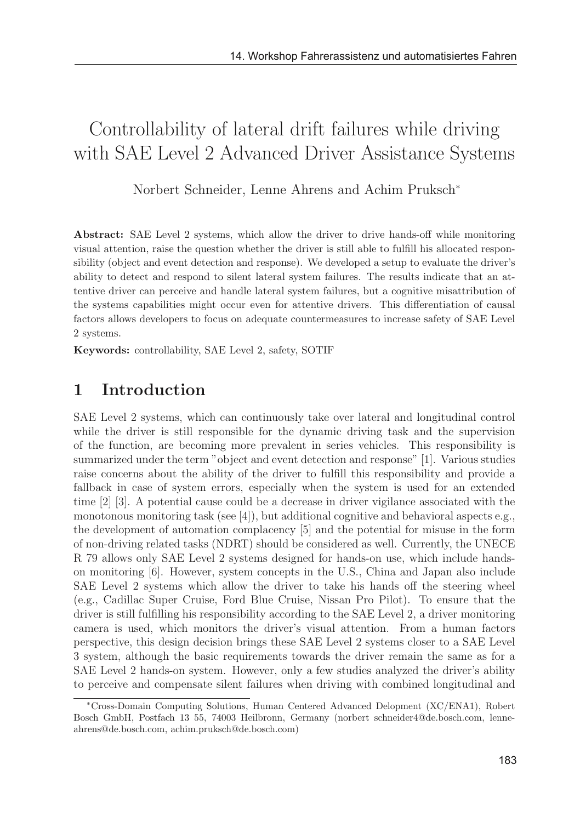# Controllability of lateral drift failures while driving with SAE Level 2 Advanced Driver Assistance Systems

Norbert Schneider, Lenne Ahrens and Achim Pruksch<sup>∗</sup>

Abstract: SAE Level 2 systems, which allow the driver to drive hands-off while monitoring visual attention, raise the question whether the driver is still able to fulfill his allocated responsibility (object and event detection and response). We developed a setup to evaluate the driver's ability to detect and respond to silent lateral system failures. The results indicate that an attentive driver can perceive and handle lateral system failures, but a cognitive misattribution of the systems capabilities might occur even for attentive drivers. This differentiation of causal factors allows developers to focus on adequate countermeasures to increase safety of SAE Level 2 systems.

Keywords: controllability, SAE Level 2, safety, SOTIF

## 1 Introduction

SAE Level 2 systems, which can continuously take over lateral and longitudinal control while the driver is still responsible for the dynamic driving task and the supervision of the function, are becoming more prevalent in series vehicles. This responsibility is summarized under the term "object and event detection and response" [1]. Various studies raise concerns about the ability of the driver to fulfill this responsibility and provide a fallback in case of system errors, especially when the system is used for an extended time [2] [3]. A potential cause could be a decrease in driver vigilance associated with the monotonous monitoring task (see  $[4]$ ), but additional cognitive and behavioral aspects e.g., the development of automation complacency [5] and the potential for misuse in the form of non-driving related tasks (NDRT) should be considered as well. Currently, the UNECE R 79 allows only SAE Level 2 systems designed for hands-on use, which include handson monitoring [6]. However, system concepts in the U.S., China and Japan also include SAE Level 2 systems which allow the driver to take his hands off the steering wheel (e.g., Cadillac Super Cruise, Ford Blue Cruise, Nissan Pro Pilot). To ensure that the driver is still fulfilling his responsibility according to the SAE Level 2, a driver monitoring camera is used, which monitors the driver's visual attention. From a human factors perspective, this design decision brings these SAE Level 2 systems closer to a SAE Level 3 system, although the basic requirements towards the driver remain the same as for a SAE Level 2 hands-on system. However, only a few studies analyzed the driver's ability to perceive and compensate silent failures when driving with combined longitudinal and

<sup>∗</sup>Cross-Domain Computing Solutions, Human Centered Advanced Delopment (XC/ENA1), Robert Bosch GmbH, Postfach 13 55, 74003 Heilbronn, Germany (norbert schneider4@de.bosch.com, lenneahrens@de.bosch.com, achim.pruksch@de.bosch.com)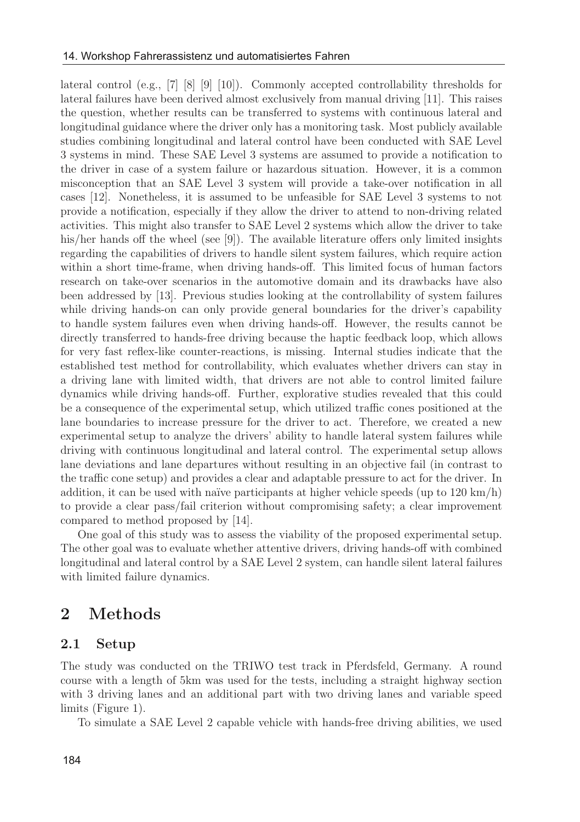lateral control (e.g., [7] [8] [9] [10]). Commonly accepted controllability thresholds for lateral failures have been derived almost exclusively from manual driving [11]. This raises the question, whether results can be transferred to systems with continuous lateral and longitudinal guidance where the driver only has a monitoring task. Most publicly available studies combining longitudinal and lateral control have been conducted with SAE Level 3 systems in mind. These SAE Level 3 systems are assumed to provide a notification to the driver in case of a system failure or hazardous situation. However, it is a common misconception that an SAE Level 3 system will provide a take-over notification in all cases [12]. Nonetheless, it is assumed to be unfeasible for SAE Level 3 systems to not provide a notification, especially if they allow the driver to attend to non-driving related activities. This might also transfer to SAE Level 2 systems which allow the driver to take his/her hands off the wheel (see [9]). The available literature offers only limited insights regarding the capabilities of drivers to handle silent system failures, which require action within a short time-frame, when driving hands-off. This limited focus of human factors research on take-over scenarios in the automotive domain and its drawbacks have also been addressed by [13]. Previous studies looking at the controllability of system failures while driving hands-on can only provide general boundaries for the driver's capability to handle system failures even when driving hands-off. However, the results cannot be directly transferred to hands-free driving because the haptic feedback loop, which allows for very fast reflex-like counter-reactions, is missing. Internal studies indicate that the established test method for controllability, which evaluates whether drivers can stay in a driving lane with limited width, that drivers are not able to control limited failure dynamics while driving hands-off. Further, explorative studies revealed that this could be a consequence of the experimental setup, which utilized traffic cones positioned at the lane boundaries to increase pressure for the driver to act. Therefore, we created a new experimental setup to analyze the drivers' ability to handle lateral system failures while driving with continuous longitudinal and lateral control. The experimental setup allows lane deviations and lane departures without resulting in an objective fail (in contrast to the traffic cone setup) and provides a clear and adaptable pressure to act for the driver. In addition, it can be used with naïve participants at higher vehicle speeds (up to  $120 \text{ km/h}$ ) to provide a clear pass/fail criterion without compromising safety; a clear improvement compared to method proposed by [14].

One goal of this study was to assess the viability of the proposed experimental setup. The other goal was to evaluate whether attentive drivers, driving hands-off with combined longitudinal and lateral control by a SAE Level 2 system, can handle silent lateral failures with limited failure dynamics.

### 2 Methods

#### 2.1 Setup

The study was conducted on the TRIWO test track in Pferdsfeld, Germany. A round course with a length of 5km was used for the tests, including a straight highway section with 3 driving lanes and an additional part with two driving lanes and variable speed limits (Figure 1).

To simulate a SAE Level 2 capable vehicle with hands-free driving abilities, we used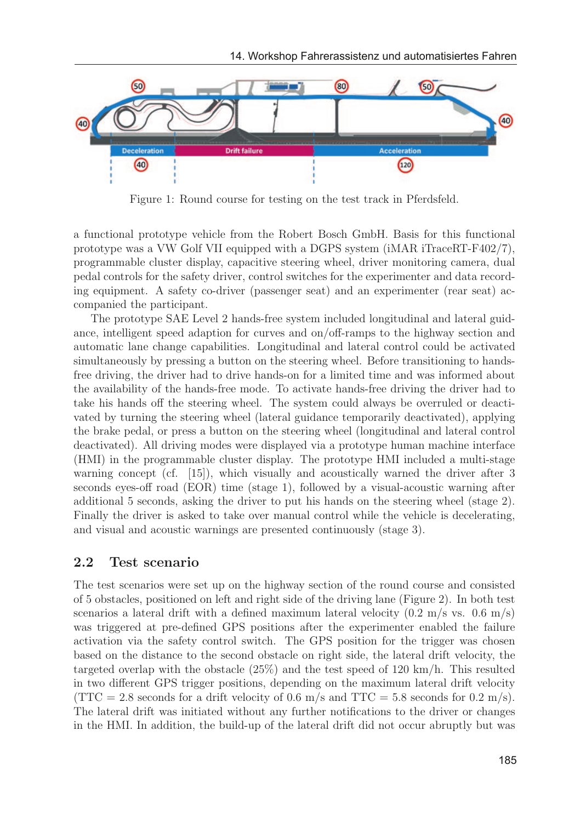

Figure 1: Round course for testing on the test track in Pferdsfeld.

a functional prototype vehicle from the Robert Bosch GmbH. Basis for this functional prototype was a VW Golf VII equipped with a DGPS system (iMAR iTraceRT-F402/7), programmable cluster display, capacitive steering wheel, driver monitoring camera, dual pedal controls for the safety driver, control switches for the experimenter and data recording equipment. A safety co-driver (passenger seat) and an experimenter (rear seat) accompanied the participant.

The prototype SAE Level 2 hands-free system included longitudinal and lateral guidance, intelligent speed adaption for curves and on/off-ramps to the highway section and automatic lane change capabilities. Longitudinal and lateral control could be activated simultaneously by pressing a button on the steering wheel. Before transitioning to handsfree driving, the driver had to drive hands-on for a limited time and was informed about the availability of the hands-free mode. To activate hands-free driving the driver had to take his hands off the steering wheel. The system could always be overruled or deactivated by turning the steering wheel (lateral guidance temporarily deactivated), applying the brake pedal, or press a button on the steering wheel (longitudinal and lateral control deactivated). All driving modes were displayed via a prototype human machine interface (HMI) in the programmable cluster display. The prototype HMI included a multi-stage warning concept (cf. [15]), which visually and acoustically warned the driver after 3 seconds eyes-off road (EOR) time (stage 1), followed by a visual-acoustic warning after additional 5 seconds, asking the driver to put his hands on the steering wheel (stage 2). Finally the driver is asked to take over manual control while the vehicle is decelerating, and visual and acoustic warnings are presented continuously (stage 3).

#### 2.2 Test scenario

The test scenarios were set up on the highway section of the round course and consisted of 5 obstacles, positioned on left and right side of the driving lane (Figure 2). In both test scenarios a lateral drift with a defined maximum lateral velocity  $(0.2 \text{ m/s vs. } 0.6 \text{ m/s})$ was triggered at pre-defined GPS positions after the experimenter enabled the failure activation via the safety control switch. The GPS position for the trigger was chosen based on the distance to the second obstacle on right side, the lateral drift velocity, the targeted overlap with the obstacle (25%) and the test speed of 120 km/h. This resulted in two different GPS trigger positions, depending on the maximum lateral drift velocity  $(TTC = 2.8$  seconds for a drift velocity of 0.6 m/s and  $TTC = 5.8$  seconds for 0.2 m/s). The lateral drift was initiated without any further notifications to the driver or changes in the HMI. In addition, the build-up of the lateral drift did not occur abruptly but was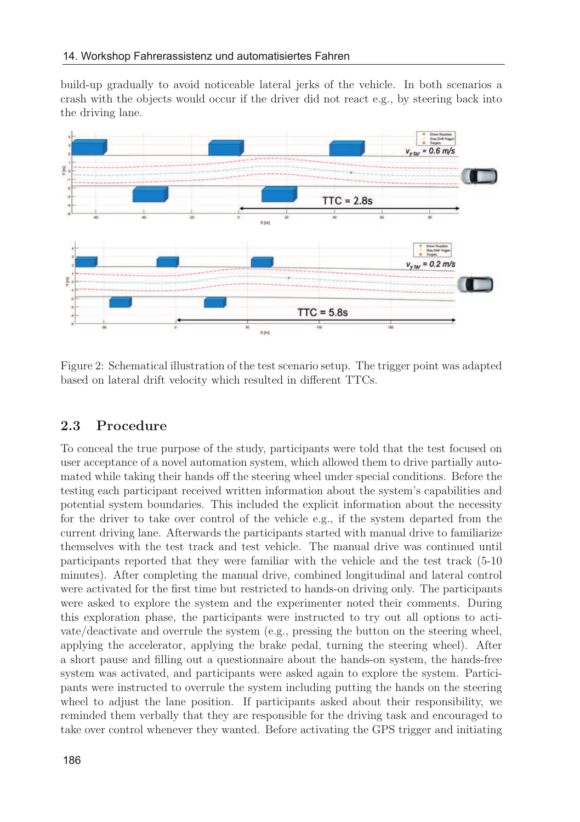build-up gradually to avoid noticeable lateral jerks of the vehicle. In both scenarios a crash with the objects would occur if the driver did not react e.g., by steering back into the driving lane.



Figure 2: Schematical illustration of the test scenario setup. The trigger point was adapted based on lateral drift velocity which resulted in different TTCs.

#### 2.3 Procedure

To conceal the true purpose of the study, participants were told that the test focused on user acceptance of a novel automation system, which allowed them to drive partially automated while taking their hands off the steering wheel under special conditions. Before the testing each participant received written information about the system's capabilities and potential system boundaries. This included the explicit information about the necessity for the driver to take over control of the vehicle e.g., if the system departed from the current driving lane. Afterwards the participants started with manual drive to familiarize themselves with the test track and test vehicle. The manual drive was continued until participants reported that they were familiar with the vehicle and the test track (5-10 minutes). After completing the manual drive, combined longitudinal and lateral control were activated for the first time but restricted to hands-on driving only. The participants were asked to explore the system and the experimenter noted their comments. During this exploration phase, the participants were instructed to try out all options to activate/deactivate and overrule the system (e.g., pressing the button on the steering wheel, applying the accelerator, applying the brake pedal, turning the steering wheel). After a short pause and filling out a questionnaire about the hands-on system, the hands-free system was activated, and participants were asked again to explore the system. Participants were instructed to overrule the system including putting the hands on the steering wheel to adjust the lane position. If participants asked about their responsibility, we reminded them verbally that they are responsible for the driving task and encouraged to take over control whenever they wanted. Before activating the GPS trigger and initiating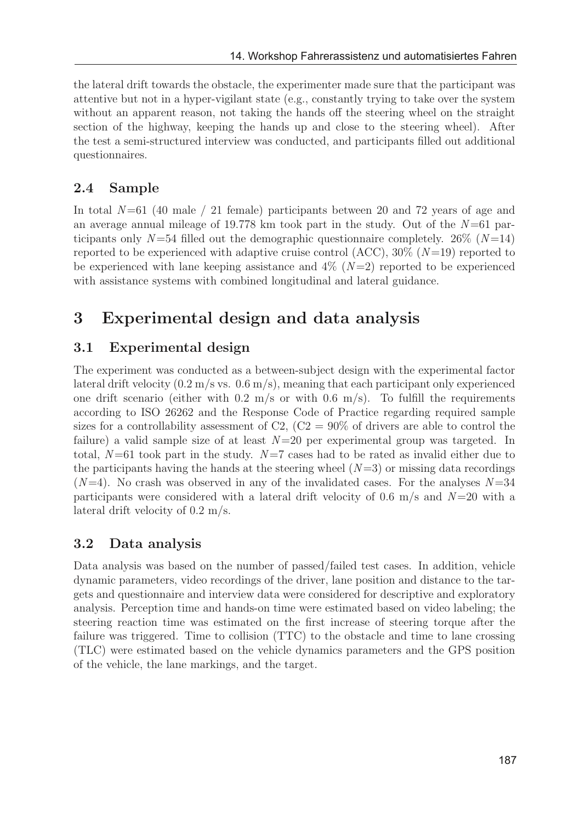the lateral drift towards the obstacle, the experimenter made sure that the participant was attentive but not in a hyper-vigilant state (e.g., constantly trying to take over the system without an apparent reason, not taking the hands off the steering wheel on the straight section of the highway, keeping the hands up and close to the steering wheel). After the test a semi-structured interview was conducted, and participants filled out additional questionnaires.

#### 2.4 Sample

In total  $N=61$  (40 male / 21 female) participants between 20 and 72 years of age and an average annual mileage of 19.778 km took part in the study. Out of the  $N=61$  participants only  $N=54$  filled out the demographic questionnaire completely. 26% ( $N=14$ ) reported to be experienced with adaptive cruise control  $(ACC)$ ,  $30\%$   $(N=19)$  reported to be experienced with lane keeping assistance and  $4\%$   $(N=2)$  reported to be experienced with assistance systems with combined longitudinal and lateral guidance.

## 3 Experimental design and data analysis

#### 3.1 Experimental design

The experiment was conducted as a between-subject design with the experimental factor lateral drift velocity  $(0.2 \text{ m/s vs. } 0.6 \text{ m/s})$ , meaning that each participant only experienced one drift scenario (either with  $0.2 \text{ m/s}$  or with  $0.6 \text{ m/s}$ ). To fulfill the requirements according to ISO 26262 and the Response Code of Practice regarding required sample sizes for a controllability assessment of C2,  $(C2 = 90\%$  of drivers are able to control the failure) a valid sample size of at least  $N=20$  per experimental group was targeted. In total,  $N=61$  took part in the study.  $N=7$  cases had to be rated as invalid either due to the participants having the hands at the steering wheel  $(N=3)$  or missing data recordings  $(N=4)$ . No crash was observed in any of the invalidated cases. For the analyses  $N=34$ participants were considered with a lateral drift velocity of 0.6 m/s and  $N=20$  with a lateral drift velocity of 0.2 m/s.

#### 3.2 Data analysis

Data analysis was based on the number of passed/failed test cases. In addition, vehicle dynamic parameters, video recordings of the driver, lane position and distance to the targets and questionnaire and interview data were considered for descriptive and exploratory analysis. Perception time and hands-on time were estimated based on video labeling; the steering reaction time was estimated on the first increase of steering torque after the failure was triggered. Time to collision (TTC) to the obstacle and time to lane crossing (TLC) were estimated based on the vehicle dynamics parameters and the GPS position of the vehicle, the lane markings, and the target.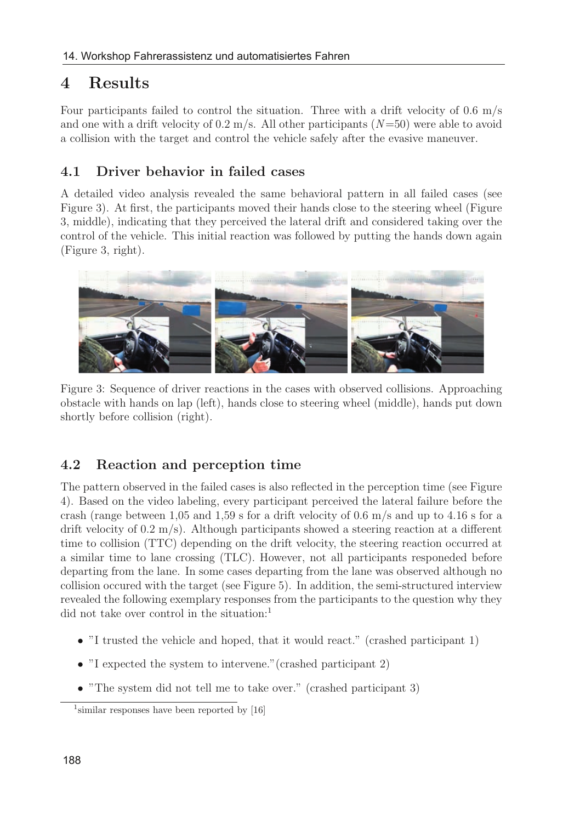## 4 Results

Four participants failed to control the situation. Three with a drift velocity of 0.6 m/s and one with a drift velocity of  $0.2 \text{ m/s}$ . All other participants  $(N=50)$  were able to avoid a collision with the target and control the vehicle safely after the evasive maneuver.

#### 4.1 Driver behavior in failed cases

A detailed video analysis revealed the same behavioral pattern in all failed cases (see Figure 3). At first, the participants moved their hands close to the steering wheel (Figure 3, middle), indicating that they perceived the lateral drift and considered taking over the control of the vehicle. This initial reaction was followed by putting the hands down again (Figure 3, right).



Figure 3: Sequence of driver reactions in the cases with observed collisions. Approaching obstacle with hands on lap (left), hands close to steering wheel (middle), hands put down shortly before collision (right).

### 4.2 Reaction and perception time

The pattern observed in the failed cases is also reflected in the perception time (see Figure 4). Based on the video labeling, every participant perceived the lateral failure before the crash (range between 1,05 and 1,59 s for a drift velocity of 0.6 m/s and up to 4.16 s for a drift velocity of 0.2 m/s). Although participants showed a steering reaction at a different time to collision (TTC) depending on the drift velocity, the steering reaction occurred at a similar time to lane crossing (TLC). However, not all participants responeded before departing from the lane. In some cases departing from the lane was observed although no collision occured with the target (see Figure 5). In addition, the semi-structured interview revealed the following exemplary responses from the participants to the question why they did not take over control in the situation:<sup>1</sup>

- "I trusted the vehicle and hoped, that it would react." (crashed participant 1)
- "I expected the system to intervene."(crashed participant 2)
- "The system did not tell me to take over." (crashed participant 3)

<sup>&</sup>lt;sup>1</sup>similar responses have been reported by [16]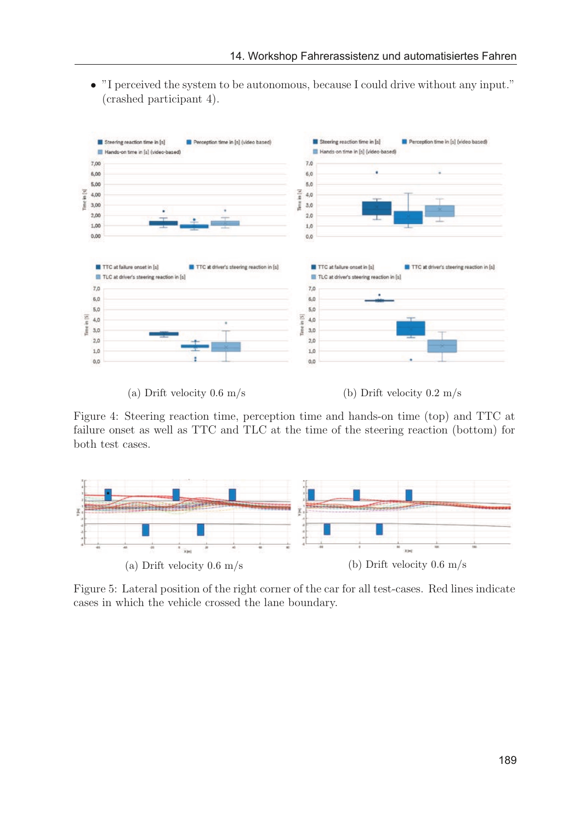• "I perceived the system to be autonomous, because I could drive without any input." (crashed participant 4).



(a) Drift velocity  $0.6 \text{ m/s}$  (b) Drift velocity  $0.2 \text{ m/s}$ 

Figure 4: Steering reaction time, perception time and hands-on time (top) and TTC at failure onset as well as TTC and TLC at the time of the steering reaction (bottom) for both test cases.



Figure 5: Lateral position of the right corner of the car for all test-cases. Red lines indicate cases in which the vehicle crossed the lane boundary.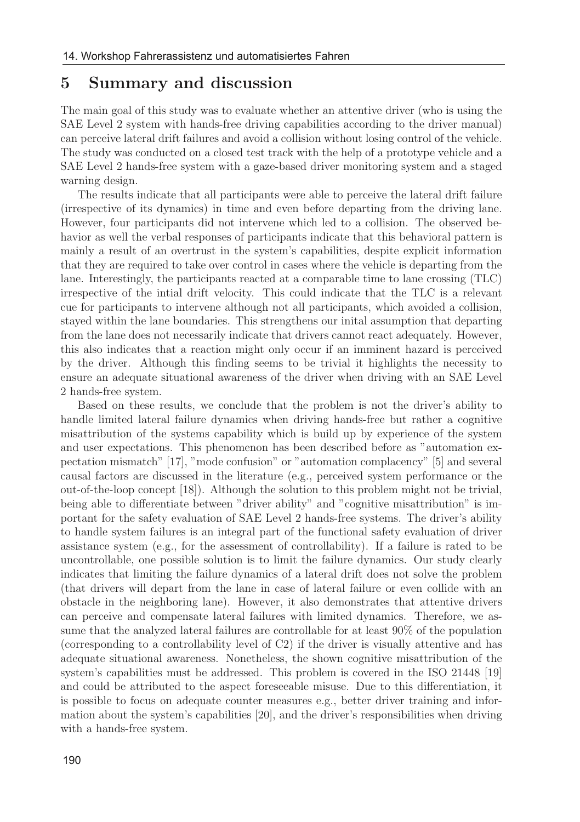#### 5 Summary and discussion

The main goal of this study was to evaluate whether an attentive driver (who is using the SAE Level 2 system with hands-free driving capabilities according to the driver manual) can perceive lateral drift failures and avoid a collision without losing control of the vehicle. The study was conducted on a closed test track with the help of a prototype vehicle and a SAE Level 2 hands-free system with a gaze-based driver monitoring system and a staged warning design.

The results indicate that all participants were able to perceive the lateral drift failure (irrespective of its dynamics) in time and even before departing from the driving lane. However, four participants did not intervene which led to a collision. The observed behavior as well the verbal responses of participants indicate that this behavioral pattern is mainly a result of an overtrust in the system's capabilities, despite explicit information that they are required to take over control in cases where the vehicle is departing from the lane. Interestingly, the participants reacted at a comparable time to lane crossing (TLC) irrespective of the intial drift velocity. This could indicate that the TLC is a relevant cue for participants to intervene although not all participants, which avoided a collision, stayed within the lane boundaries. This strengthens our inital assumption that departing from the lane does not necessarily indicate that drivers cannot react adequately. However, this also indicates that a reaction might only occur if an imminent hazard is perceived by the driver. Although this finding seems to be trivial it highlights the necessity to ensure an adequate situational awareness of the driver when driving with an SAE Level 2 hands-free system.

Based on these results, we conclude that the problem is not the driver's ability to handle limited lateral failure dynamics when driving hands-free but rather a cognitive misattribution of the systems capability which is build up by experience of the system and user expectations. This phenomenon has been described before as "automation expectation mismatch" [17], "mode confusion" or "automation complacency" [5] and several causal factors are discussed in the literature (e.g., perceived system performance or the out-of-the-loop concept [18]). Although the solution to this problem might not be trivial, being able to differentiate between "driver ability" and "cognitive misattribution" is important for the safety evaluation of SAE Level 2 hands-free systems. The driver's ability to handle system failures is an integral part of the functional safety evaluation of driver assistance system (e.g., for the assessment of controllability). If a failure is rated to be uncontrollable, one possible solution is to limit the failure dynamics. Our study clearly indicates that limiting the failure dynamics of a lateral drift does not solve the problem (that drivers will depart from the lane in case of lateral failure or even collide with an obstacle in the neighboring lane). However, it also demonstrates that attentive drivers can perceive and compensate lateral failures with limited dynamics. Therefore, we assume that the analyzed lateral failures are controllable for at least 90% of the population (corresponding to a controllability level of C2) if the driver is visually attentive and has adequate situational awareness. Nonetheless, the shown cognitive misattribution of the system's capabilities must be addressed. This problem is covered in the ISO 21448 [19] and could be attributed to the aspect foreseeable misuse. Due to this differentiation, it is possible to focus on adequate counter measures e.g., better driver training and information about the system's capabilities [20], and the driver's responsibilities when driving with a hands-free system.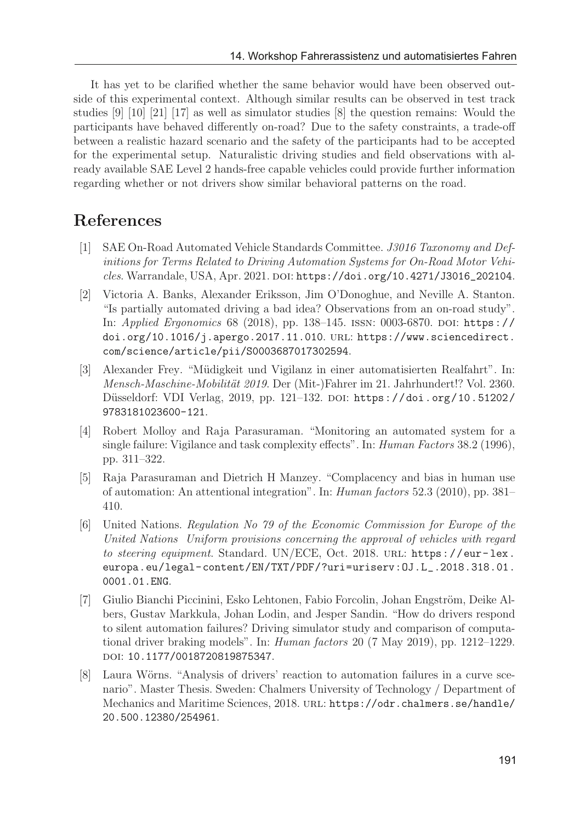It has yet to be clarified whether the same behavior would have been observed outside of this experimental context. Although similar results can be observed in test track studies [9] [10] [21] [17] as well as simulator studies [8] the question remains: Would the participants have behaved differently on-road? Due to the safety constraints, a trade-off between a realistic hazard scenario and the safety of the participants had to be accepted for the experimental setup. Naturalistic driving studies and field observations with already available SAE Level 2 hands-free capable vehicles could provide further information regarding whether or not drivers show similar behavioral patterns on the road.

### References

- [1] SAE On-Road Automated Vehicle Standards Committee. J3016 Taxonomy and Definitions for Terms Related to Driving Automation Systems for On-Road Motor Vehicles. Warrandale, USA, Apr. 2021. doi: https://doi.org/10.4271/J3016\_202104.
- [2] Victoria A. Banks, Alexander Eriksson, Jim O'Donoghue, and Neville A. Stanton. "Is partially automated driving a bad idea? Observations from an on-road study". In: Applied Ergonomics 68 (2018), pp. 138-145. ISSN: 0003-6870. DOI: https:// doi.org/10.1016/j.apergo.2017.11.010. url: https://www.sciencedirect. com/science/article/pii/S0003687017302594.
- [3] Alexander Frey. "Müdigkeit und Vigilanz in einer automatisierten Realfahrt". In: Mensch-Maschine-Mobilität 2019. Der (Mit-)Fahrer im 21. Jahrhundert!? Vol. 2360. Düsseldorf: VDI Verlag, 2019, pp. 121–132. DOI: https://doi.org/10.51202/ 9783181023600-121.
- [4] Robert Molloy and Raja Parasuraman. "Monitoring an automated system for a single failure: Vigilance and task complexity effects". In: Human Factors 38.2 (1996), pp. 311–322.
- [5] Raja Parasuraman and Dietrich H Manzey. "Complacency and bias in human use of automation: An attentional integration". In: Human factors 52.3 (2010), pp. 381– 410.
- [6] United Nations. Regulation No 79 of the Economic Commission for Europe of the United Nations Uniform provisions concerning the approval of vehicles with regard to steering equipment. Standard. UN/ECE, Oct. 2018. URL: https://eur-lex. europa.eu/legal-content/EN/TXT/PDF/?uri=uriserv:OJ.L\_.2018.318.01. 0001.01.ENG.
- [7] Giulio Bianchi Piccinini, Esko Lehtonen, Fabio Forcolin, Johan Engström, Deike Albers, Gustav Markkula, Johan Lodin, and Jesper Sandin. "How do drivers respond to silent automation failures? Driving simulator study and comparison of computational driver braking models". In: Human factors 20 (7 May 2019), pp. 1212–1229. doi: 10.1177/0018720819875347.
- [8] Laura Wörns. "Analysis of drivers' reaction to automation failures in a curve scenario". Master Thesis. Sweden: Chalmers University of Technology / Department of Mechanics and Maritime Sciences, 2018. url: https://odr.chalmers.se/handle/ 20.500.12380/254961.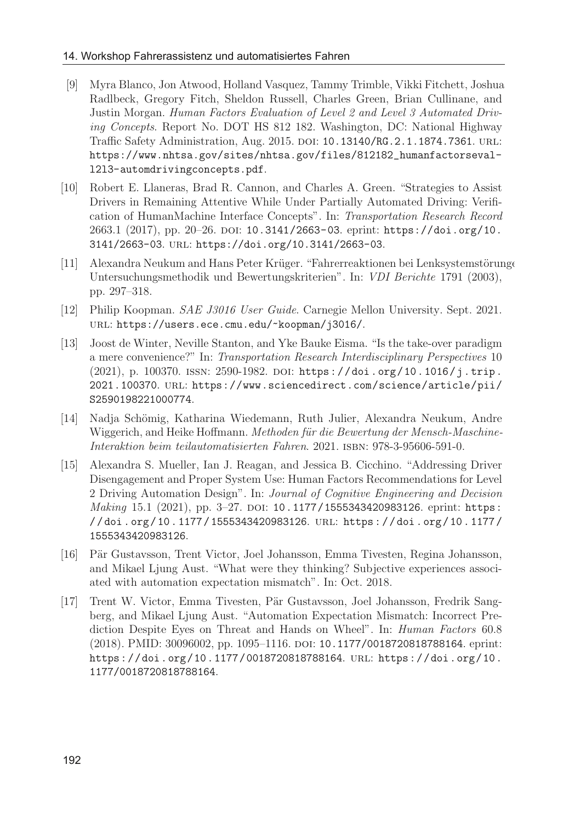#### 14. Workshop Fahrerassistenz und automatisiertes Fahren

- [9] Myra Blanco, Jon Atwood, Holland Vasquez, Tammy Trimble, Vikki Fitchett, Joshua Radlbeck, Gregory Fitch, Sheldon Russell, Charles Green, Brian Cullinane, and Justin Morgan. Human Factors Evaluation of Level 2 and Level 3 Automated Driving Concepts. Report No. DOT HS 812 182. Washington, DC: National Highway Traffic Safety Administration, Aug. 2015. doi: 10.13140/RG.2.1.1874.7361. url: https://www.nhtsa.gov/sites/nhtsa.gov/files/812182\_humanfactorsevall2l3-automdrivingconcepts.pdf.
- [10] Robert E. Llaneras, Brad R. Cannon, and Charles A. Green. "Strategies to Assist Drivers in Remaining Attentive While Under Partially Automated Driving: Verification of HumanMachine Interface Concepts". In: Transportation Research Record 2663.1 (2017), pp. 20–26. doi: 10.3141/2663-03. eprint: https://doi.org/10. 3141/2663-03. url: https://doi.org/10.3141/2663-03.
- [11] Alexandra Neukum and Hans Peter Krüger. "Fahrerreaktionen bei Lenksystemstörunge Untersuchungsmethodik und Bewertungskriterien". In: VDI Berichte 1791 (2003), pp. 297–318.
- [12] Philip Koopman. SAE J3016 User Guide. Carnegie Mellon University. Sept. 2021. url: https://users.ece.cmu.edu/~koopman/j3016/.
- [13] Joost de Winter, Neville Stanton, and Yke Bauke Eisma. "Is the take-over paradigm a mere convenience?" In: Transportation Research Interdisciplinary Perspectives 10 (2021), p. 100370. ISSN: 2590-1982. DOI: https://doi.org/10.1016/j.trip. 2021.100370. url: https://www.sciencedirect.com/science/article/pii/ S2590198221000774.
- [14] Nadja Schömig, Katharina Wiedemann, Ruth Julier, Alexandra Neukum, Andre Wiggerich, and Heike Hoffmann. Methoden für die Bewertung der Mensch-Maschine-Interaktion beim teilautomatisierten Fahren. 2021. isbn: 978-3-95606-591-0.
- [15] Alexandra S. Mueller, Ian J. Reagan, and Jessica B. Cicchino. "Addressing Driver Disengagement and Proper System Use: Human Factors Recommendations for Level 2 Driving Automation Design". In: Journal of Cognitive Engineering and Decision Making 15.1 (2021), pp. 3-27. DOI: 10.1177/1555343420983126. eprint: https: / / doi . org / 10 . 1177 / 1555343420983126. url: https : / / doi . org / 10 . 1177 / 1555343420983126.
- [16] Pär Gustavsson, Trent Victor, Joel Johansson, Emma Tivesten, Regina Johansson, and Mikael Ljung Aust. "What were they thinking? Subjective experiences associated with automation expectation mismatch". In: Oct. 2018.
- [17] Trent W. Victor, Emma Tivesten, Pär Gustavsson, Joel Johansson, Fredrik Sangberg, and Mikael Ljung Aust. "Automation Expectation Mismatch: Incorrect Prediction Despite Eyes on Threat and Hands on Wheel". In: Human Factors 60.8 (2018). PMID: 30096002, pp. 1095–1116. doi: 10.1177/0018720818788164. eprint: https://doi.org/10.1177/0018720818788164. url: https://doi.org/10. 1177/0018720818788164.